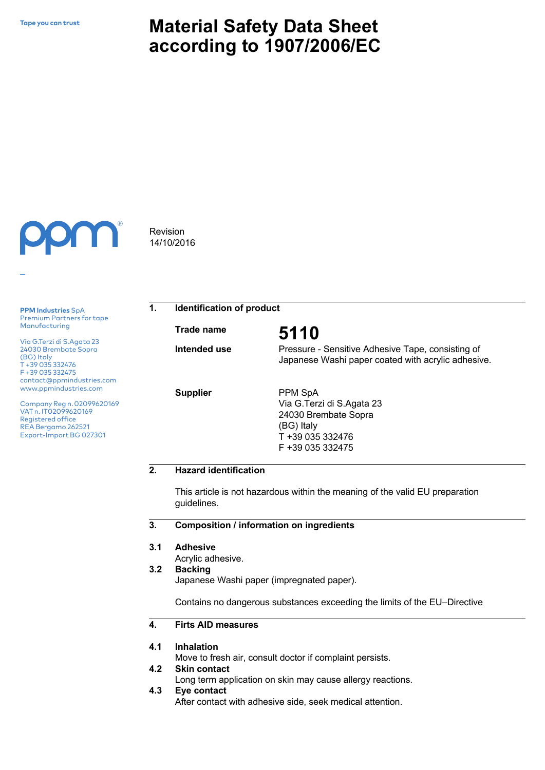# **Material Safety Data Sheet according to 1907/2006/EC**



**PPM Industries** SpA Premium Partners for tape Manufacturing

Via G.Terzi di S.Agata 23 24030 Brembate Sopra (BG) Italy T +39 035 332476 F +39 035 332475 contact@ppmindustries.com www.ppmindustries.com

Company Reg n. 02099620169 VAT n. IT02099620169 Registered office REA Bergamo 262521 Export-Import BG 027301

Revision 14/10/2016

**1. Identification of product**

**Trade name 5110**

**Intended use** 

**Supplier**

Pressure - Sensitive Adhesive Tape, consisting of

PPM SpA

Japanese Washi paper coated with acrylic adhesive.

Via G.Terzi di S.Agata 23 24030 Brembate Sopra (BG) Italy T +39 035 332476 F +39 035 332475

# **2. Hazard identification**

This article is not hazardous within the meaning of the valid EU preparation guidelines.

**3. Composition / information on ingredients**

#### **3.1 Adhesive**

Acrylic adhesive.

#### **3.2 Backing**

Japanese Washi paper (impregnated paper).

Contains no dangerous substances exceeding the limits of the EU–Directive

#### **4. Firts AID measures**

#### **4.1 Inhalation**

Move to fresh air, consult doctor if complaint persists.

#### **4.2 Skin contact**

Long term application on skin may cause allergy reactions.

**4.3 Eye contact**

After contact with adhesive side, seek medical attention.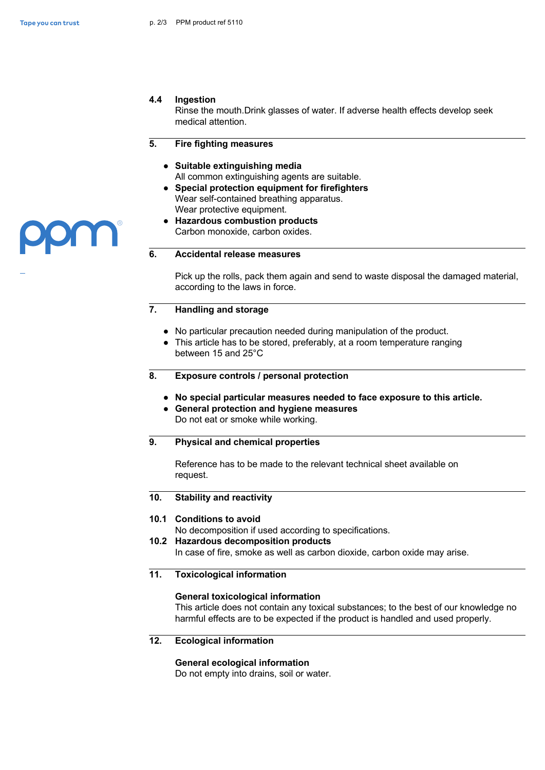**JULI** 

## **4.4 Ingestion**

Rinse the mouth.Drink glasses of water. If adverse health effects develop seek medical attention.

#### **5. Fire fighting measures**

- **● Suitable extinguishing media** All common extinguishing agents are suitable.
- **● Special protection equipment for firefighters**  Wear self-contained breathing apparatus. Wear protective equipment.
- **● Hazardous combustion products** Carbon monoxide, carbon oxides.

### **6. Accidental release measures**

Pick up the rolls, pack them again and send to waste disposal the damaged material, according to the laws in force.

#### **7. Handling and storage**

- **●** No particular precaution needed during manipulation of the product.
- **●** This article has to be stored, preferably, at a room temperature ranging between 15 and 25°C
- **8. Exposure controls / personal protection**
	- **● No special particular measures needed to face exposure to this article.**
	- **● General protection and hygiene measures**  Do not eat or smoke while working.

## **9. Physical and chemical properties**

Reference has to be made to the relevant technical sheet available on request.

#### **10. Stability and reactivity**

### **10.1 Conditions to avoid**

No decomposition if used according to specifications.

# **10.2 Hazardous decomposition products**

In case of fire, smoke as well as carbon dioxide, carbon oxide may arise.

# **11. Toxicological information**

### **General toxicological information**

This article does not contain any toxical substances; to the best of our knowledge no harmful effects are to be expected if the product is handled and used properly.

# **12. Ecological information**

### **General ecological information**

Do not empty into drains, soil or water.